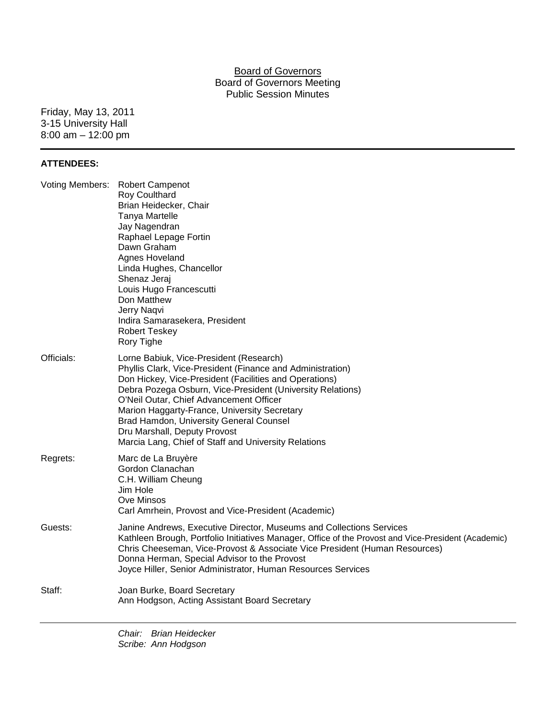### Board of Governors Board of Governors Meeting Public Session Minutes

Friday, May 13, 2011 3-15 University Hall 8:00 am – 12:00 pm

#### **ATTENDEES:**

| Officials:<br>Lorne Babiuk, Vice-President (Research)<br>Phyllis Clark, Vice-President (Finance and Administration)<br>Don Hickey, Vice-President (Facilities and Operations)<br>Debra Pozega Osburn, Vice-President (University Relations)<br>O'Neil Outar, Chief Advancement Officer<br>Marion Haggarty-France, University Secretary<br>Brad Hamdon, University General Counsel<br>Dru Marshall, Deputy Provost<br>Marcia Lang, Chief of Staff and University Relations |  |
|---------------------------------------------------------------------------------------------------------------------------------------------------------------------------------------------------------------------------------------------------------------------------------------------------------------------------------------------------------------------------------------------------------------------------------------------------------------------------|--|
| Regrets:<br>Marc de La Bruyère<br>Gordon Clanachan<br>C.H. William Cheung<br>Jim Hole<br>Ove Minsos<br>Carl Amrhein, Provost and Vice-President (Academic)                                                                                                                                                                                                                                                                                                                |  |
| Guests:<br>Janine Andrews, Executive Director, Museums and Collections Services<br>Kathleen Brough, Portfolio Initiatives Manager, Office of the Provost and Vice-President (Academic)<br>Chris Cheeseman, Vice-Provost & Associate Vice President (Human Resources)<br>Donna Herman, Special Advisor to the Provost<br>Joyce Hiller, Senior Administrator, Human Resources Services                                                                                      |  |
| Staff:<br>Joan Burke, Board Secretary<br>Ann Hodgson, Acting Assistant Board Secretary                                                                                                                                                                                                                                                                                                                                                                                    |  |

*Chair: Brian Heidecker Scribe: Ann Hodgson*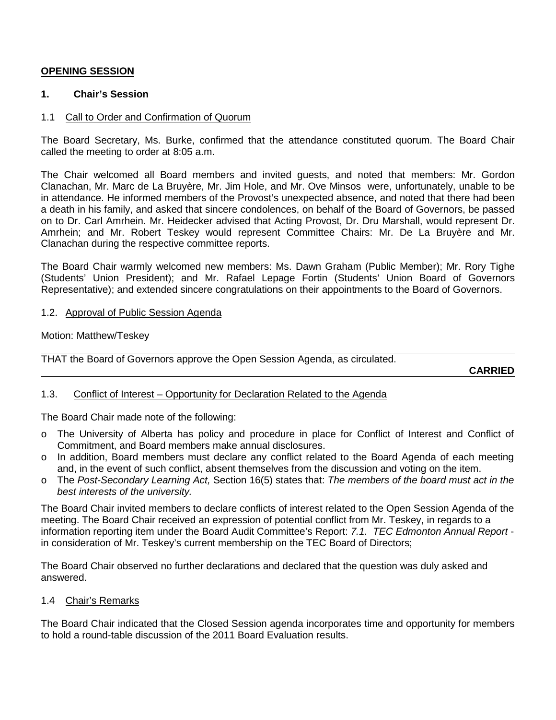# **OPENING SESSION**

### **1. Chair's Session**

### 1.1 Call to Order and Confirmation of Quorum

The Board Secretary, Ms. Burke, confirmed that the attendance constituted quorum. The Board Chair called the meeting to order at 8:05 a.m.

The Chair welcomed all Board members and invited guests, and noted that members: Mr. Gordon Clanachan, Mr. Marc de La Bruyère, Mr. Jim Hole, and Mr. Ove Minsos were, unfortunately, unable to be in attendance. He informed members of the Provost's unexpected absence, and noted that there had been a death in his family, and asked that sincere condolences, on behalf of the Board of Governors, be passed on to Dr. Carl Amrhein. Mr. Heidecker advised that Acting Provost, Dr. Dru Marshall, would represent Dr. Amrhein; and Mr. Robert Teskey would represent Committee Chairs: Mr. De La Bruyère and Mr. Clanachan during the respective committee reports.

The Board Chair warmly welcomed new members: Ms. Dawn Graham (Public Member); Mr. Rory Tighe (Students' Union President); and Mr. Rafael Lepage Fortin (Students' Union Board of Governors Representative); and extended sincere congratulations on their appointments to the Board of Governors.

### 1.2. Approval of Public Session Agenda

Motion: Matthew/Teskey

THAT the Board of Governors approve the Open Session Agenda, as circulated.

**CARRIED**

# 1.3. Conflict of Interest – Opportunity for Declaration Related to the Agenda

The Board Chair made note of the following:

- o The University of Alberta has policy and procedure in place for Conflict of Interest and Conflict of Commitment, and Board members make annual disclosures.
- o In addition, Board members must declare any conflict related to the Board Agenda of each meeting and, in the event of such conflict, absent themselves from the discussion and voting on the item.
- o The *Post-Secondary Learning Act,* Section 16(5) states that: *The members of the board must act in the best interests of the university.*

The Board Chair invited members to declare conflicts of interest related to the Open Session Agenda of the meeting. The Board Chair received an expression of potential conflict from Mr. Teskey, in regards to a information reporting item under the Board Audit Committee's Report: *7.1. TEC Edmonton Annual Report* in consideration of Mr. Teskey's current membership on the TEC Board of Directors;

The Board Chair observed no further declarations and declared that the question was duly asked and answered.

#### 1.4 Chair's Remarks

The Board Chair indicated that the Closed Session agenda incorporates time and opportunity for members to hold a round-table discussion of the 2011 Board Evaluation results.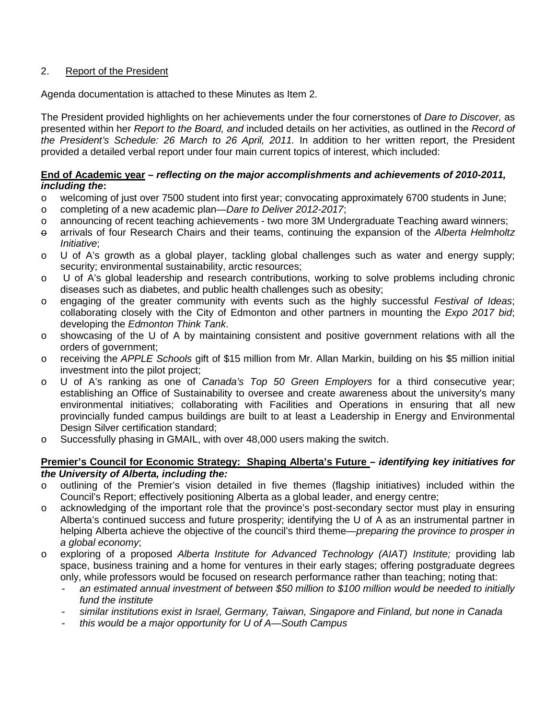# 2. Report of the President

Agenda documentation is attached to these Minutes as Item 2.

The President provided highlights on her achievements under the four cornerstones of *Dare to Discover,* as presented within her *Report to the Board, and* included details on her activities, as outlined in the *Record of the President's Schedule: 26 March to 26 April, 2011.* In addition to her written report, the President provided a detailed verbal report under four main current topics of interest, which included:

# **End of Academic year –** *reflecting on the major accomplishments and achievements of 2010-2011, including the***:**

- o welcoming of just over 7500 student into first year; convocating approximately 6700 students in June;
- o completing of a new academic plan—*Dare to Deliver 2012-2017*;
- o announcing of recent teaching achievements two more 3M Undergraduate Teaching award winners;
- o arrivals of four Research Chairs and their teams, continuing the expansion of the *Alberta Helmholtz Initiative*;
- o U of A's growth as a global player, tackling global challenges such as water and energy supply; security; environmental sustainability, arctic resources;
- o U of A's global leadership and research contributions, working to solve problems including chronic diseases such as diabetes, and public health challenges such as obesity;
- o engaging of the greater community with events such as the highly successful *Festival of Ideas*; collaborating closely with the City of Edmonton and other partners in mounting the *Expo 2017 bid*; developing the *Edmonton Think Tank*.
- o showcasing of the U of A by maintaining consistent and positive government relations with all the orders of government;
- o receiving the *APPLE Schools* gift of \$15 million from Mr. Allan Markin, building on his \$5 million initial investment into the pilot project;
- o U of A's ranking as one of *Canada's Top 50 Green Employers* for a third consecutive year; establishing an Office of Sustainability to oversee and create awareness about the university's many environmental initiatives; collaborating with Facilities and Operations in ensuring that all new provincially funded campus buildings are built to at least a Leadership in Energy and Environmental Design Silver certification standard;
- $\circ$  Successfully phasing in GMAIL, with over 48,000 users making the switch.

# **Premier's Council for Economic Strategy: Shaping Alberta's Future** *– identifying key initiatives for the University of Alberta, including the:*

- o outlining of the Premier's vision detailed in five themes (flagship initiatives) included within the Council's Report; effectively positioning Alberta as a global leader, and energy centre;
- o acknowledging of the important role that the province's post-secondary sector must play in ensuring Alberta's continued success and future prosperity; identifying the U of A as an instrumental partner in helping Alberta achieve the objective of the council's third theme—*preparing the province to prosper in a global economy*;
- o exploring of a proposed *Alberta Institute for Advanced Technology (AIAT) Institute;* providing lab space, business training and a home for ventures in their early stages; offering postgraduate degrees only, while professors would be focused on research performance rather than teaching; noting that:
	- *an estimated annual investment of between \$50 million to \$100 million would be needed to initially fund the institute*
	- *similar institutions exist in Israel, Germany, Taiwan, Singapore and Finland, but none in Canada*
	- *this would be a major opportunity for U of A—South Campus*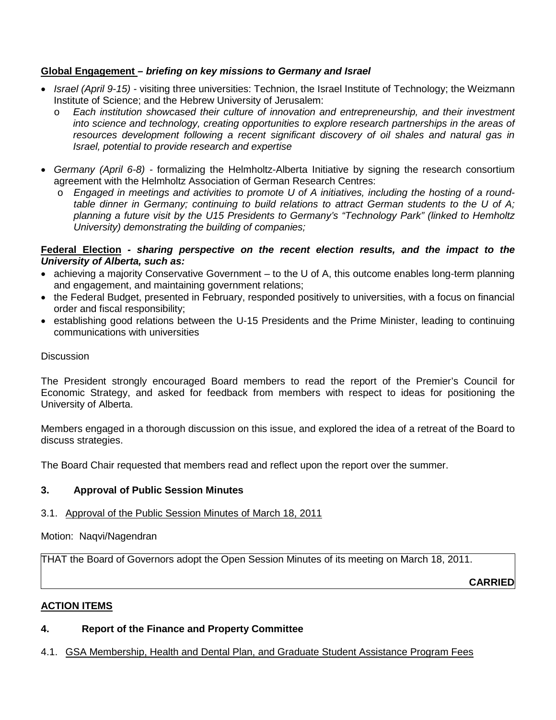# **Global Engagement** *– briefing on key missions to Germany and Israel*

- *Israel (April 9-15)* visiting three universities: Technion, the Israel Institute of Technology; the Weizmann Institute of Science; and the Hebrew University of Jerusalem:
	- o *Each institution showcased their culture of innovation and entrepreneurship, and their investment into science and technology, creating opportunities to explore research partnerships in the areas of resources development following a recent significant discovery of oil shales and natural gas in Israel, potential to provide research and expertise*
- *Germany (April 6-8)* formalizing the Helmholtz-Alberta Initiative by signing the research consortium agreement with the Helmholtz Association of German Research Centres:
	- o *Engaged in meetings and activities to promote U of A initiatives, including the hosting of a roundtable dinner in Germany; continuing to build relations to attract German students to the U of A; planning a future visit by the U15 Presidents to Germany's "Technology Park" (linked to Hemholtz University) demonstrating the building of companies;*

### **Federal Election** *- sharing perspective on the recent election results, and the impact to the University of Alberta, such as:*

- achieving a majority Conservative Government to the U of A, this outcome enables long-term planning and engagement, and maintaining government relations;
- the Federal Budget, presented in February, responded positively to universities, with a focus on financial order and fiscal responsibility;
- establishing good relations between the U-15 Presidents and the Prime Minister, leading to continuing communications with universities

### **Discussion**

The President strongly encouraged Board members to read the report of the Premier's Council for Economic Strategy, and asked for feedback from members with respect to ideas for positioning the University of Alberta.

Members engaged in a thorough discussion on this issue, and explored the idea of a retreat of the Board to discuss strategies.

The Board Chair requested that members read and reflect upon the report over the summer.

# **3. Approval of Public Session Minutes**

# 3.1. Approval of the Public Session Minutes of March 18, 2011

Motion: Naqvi/Nagendran

THAT the Board of Governors adopt the Open Session Minutes of its meeting on March 18, 2011.

**CARRIED**

# **ACTION ITEMS**

# **4. Report of the Finance and Property Committee**

# 4.1. GSA Membership, Health and Dental Plan, and Graduate Student Assistance Program Fees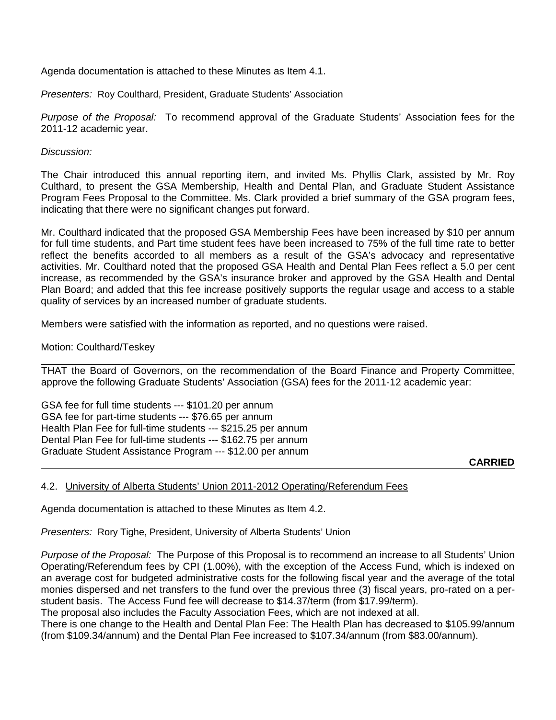Agenda documentation is attached to these Minutes as Item 4.1.

*Presenters:* Roy Coulthard, President, Graduate Students' Association

*Purpose of the Proposal:* To recommend approval of the Graduate Students' Association fees for the 2011-12 academic year.

*Discussion:*

The Chair introduced this annual reporting item, and invited Ms. Phyllis Clark, assisted by Mr. Roy Culthard, to present the GSA Membership, Health and Dental Plan, and Graduate Student Assistance Program Fees Proposal to the Committee. Ms. Clark provided a brief summary of the GSA program fees, indicating that there were no significant changes put forward.

Mr. Coulthard indicated that the proposed GSA Membership Fees have been increased by \$10 per annum for full time students, and Part time student fees have been increased to 75% of the full time rate to better reflect the benefits accorded to all members as a result of the GSA's advocacy and representative activities. Mr. Coulthard noted that the proposed GSA Health and Dental Plan Fees reflect a 5.0 per cent increase, as recommended by the GSA's insurance broker and approved by the GSA Health and Dental Plan Board; and added that this fee increase positively supports the regular usage and access to a stable quality of services by an increased number of graduate students.

Members were satisfied with the information as reported, and no questions were raised.

Motion: Coulthard/Teskey

THAT the Board of Governors, on the recommendation of the Board Finance and Property Committee, approve the following Graduate Students' Association (GSA) fees for the 2011-12 academic year:

GSA fee for full time students --- \$101.20 per annum GSA fee for part-time students --- \$76.65 per annum Health Plan Fee for full-time students --- \$215.25 per annum Dental Plan Fee for full-time students --- \$162.75 per annum Graduate Student Assistance Program --- \$12.00 per annum

**CARRIED**

#### 4.2. University of Alberta Students' Union 2011-2012 Operating/Referendum Fees

Agenda documentation is attached to these Minutes as Item 4.2.

*Presenters:* Rory Tighe, President, University of Alberta Students' Union

*Purpose of the Proposal:* The Purpose of this Proposal is to recommend an increase to all Students' Union Operating/Referendum fees by CPI (1.00%), with the exception of the Access Fund, which is indexed on an average cost for budgeted administrative costs for the following fiscal year and the average of the total monies dispersed and net transfers to the fund over the previous three (3) fiscal years, pro-rated on a perstudent basis. The Access Fund fee will decrease to \$14.37/term (from \$17.99/term).

The proposal also includes the Faculty Association Fees, which are not indexed at all.

There is one change to the Health and Dental Plan Fee: The Health Plan has decreased to \$105.99/annum (from \$109.34/annum) and the Dental Plan Fee increased to \$107.34/annum (from \$83.00/annum).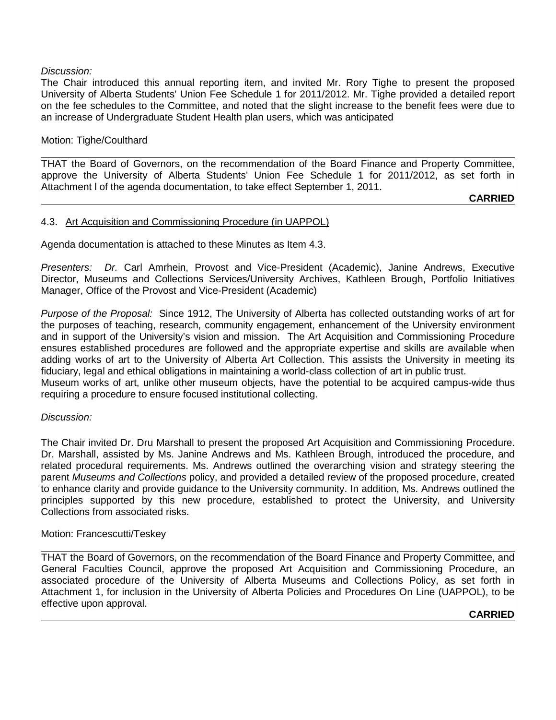#### *Discussion:*

The Chair introduced this annual reporting item, and invited Mr. Rory Tighe to present the proposed University of Alberta Students' Union Fee Schedule 1 for 2011/2012. Mr. Tighe provided a detailed report on the fee schedules to the Committee, and noted that the slight increase to the benefit fees were due to an increase of Undergraduate Student Health plan users, which was anticipated

### Motion: Tighe/Coulthard

THAT the Board of Governors, on the recommendation of the Board Finance and Property Committee, approve the University of Alberta Students' Union Fee Schedule 1 for 2011/2012, as set forth in Attachment l of the agenda documentation, to take effect September 1, 2011.

**CARRIED**

### 4.3. Art Acquisition and Commissioning Procedure (in UAPPOL)

Agenda documentation is attached to these Minutes as Item 4.3.

*Presenters: Dr.* Carl Amrhein, Provost and Vice-President (Academic), Janine Andrews, Executive Director, Museums and Collections Services/University Archives, Kathleen Brough, Portfolio Initiatives Manager, Office of the Provost and Vice-President (Academic)

*Purpose of the Proposal:* Since 1912, The University of Alberta has collected outstanding works of art for the purposes of teaching, research, community engagement, enhancement of the University environment and in support of the University's vision and mission. The Art Acquisition and Commissioning Procedure ensures established procedures are followed and the appropriate expertise and skills are available when adding works of art to the University of Alberta Art Collection. This assists the University in meeting its fiduciary, legal and ethical obligations in maintaining a world-class collection of art in public trust. Museum works of art, unlike other museum objects, have the potential to be acquired campus-wide thus requiring a procedure to ensure focused institutional collecting.

#### *Discussion:*

The Chair invited Dr. Dru Marshall to present the proposed Art Acquisition and Commissioning Procedure. Dr. Marshall, assisted by Ms. Janine Andrews and Ms. Kathleen Brough, introduced the procedure, and related procedural requirements. Ms. Andrews outlined the overarching vision and strategy steering the parent *Museums and Collections* policy, and provided a detailed review of the proposed procedure, created to enhance clarity and provide guidance to the University community. In addition, Ms. Andrews outlined the principles supported by this new procedure, established to protect the University, and University Collections from associated risks.

#### Motion: Francescutti/Teskey

THAT the Board of Governors, on the recommendation of the Board Finance and Property Committee, and General Faculties Council, approve the proposed Art Acquisition and Commissioning Procedure, an associated procedure of the University of Alberta Museums and Collections Policy, as set forth in Attachment 1, for inclusion in the University of Alberta Policies and Procedures On Line (UAPPOL), to be effective upon approval.

#### **CARRIED**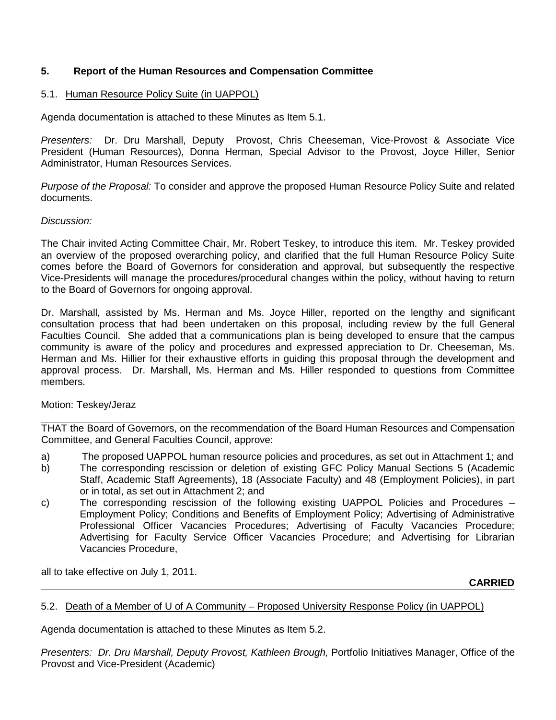# **5. Report of the Human Resources and Compensation Committee**

# 5.1. Human Resource Policy Suite (in UAPPOL)

Agenda documentation is attached to these Minutes as Item 5.1.

*Presenters:* Dr. Dru Marshall, Deputy Provost, Chris Cheeseman, Vice-Provost & Associate Vice President (Human Resources), Donna Herman, Special Advisor to the Provost, Joyce Hiller, Senior Administrator, Human Resources Services.

*Purpose of the Proposal:* To consider and approve the proposed Human Resource Policy Suite and related documents.

### *Discussion:*

The Chair invited Acting Committee Chair, Mr. Robert Teskey, to introduce this item. Mr. Teskey provided an overview of the proposed overarching policy, and clarified that the full Human Resource Policy Suite comes before the Board of Governors for consideration and approval, but subsequently the respective Vice-Presidents will manage the procedures/procedural changes within the policy, without having to return to the Board of Governors for ongoing approval.

Dr. Marshall, assisted by Ms. Herman and Ms. Joyce Hiller, reported on the lengthy and significant consultation process that had been undertaken on this proposal, including review by the full General Faculties Council. She added that a communications plan is being developed to ensure that the campus community is aware of the policy and procedures and expressed appreciation to Dr. Cheeseman, Ms. Herman and Ms. Hillier for their exhaustive efforts in guiding this proposal through the development and approval process. Dr. Marshall, Ms. Herman and Ms. Hiller responded to questions from Committee members.

# Motion: Teskey/Jeraz

THAT the Board of Governors, on the recommendation of the Board Human Resources and Compensation Committee, and General Faculties Council, approve:

- a) The proposed UAPPOL human resource policies and procedures, as set out in Attachment 1; and b) The corresponding rescission or deletion of existing GFC Policy Manual Sections 5 (Academic Staff, Academic Staff Agreements), 18 (Associate Faculty) and 48 (Employment Policies), in part or in total, as set out in Attachment 2; and
- c) The corresponding rescission of the following existing UAPPOL Policies and Procedures Employment Policy; Conditions and Benefits of Employment Policy; Advertising of Administrative Professional Officer Vacancies Procedures; Advertising of Faculty Vacancies Procedure; Advertising for Faculty Service Officer Vacancies Procedure; and Advertising for Librarian Vacancies Procedure,

all to take effective on July 1, 2011.

**CARRIED**

#### 5.2. Death of a Member of U of A Community – Proposed University Response Policy (in UAPPOL)

Agenda documentation is attached to these Minutes as Item 5.2.

*Presenters: Dr. Dru Marshall, Deputy Provost, Kathleen Brough,* Portfolio Initiatives Manager, Office of the Provost and Vice-President (Academic)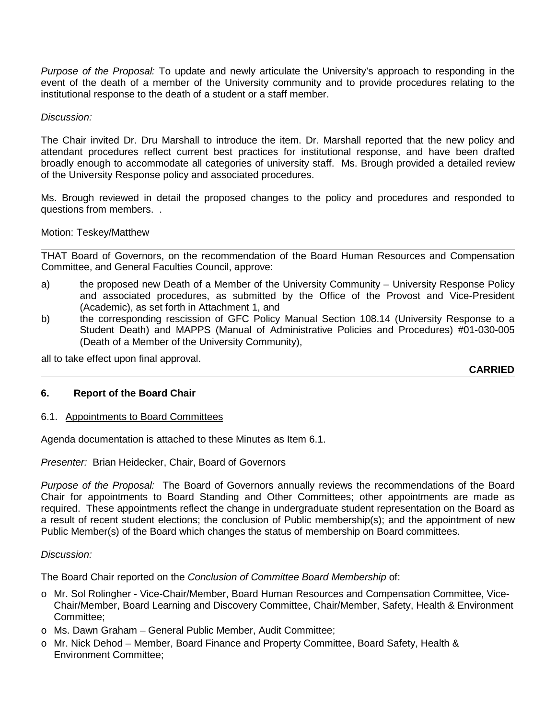*Purpose of the Proposal:* To update and newly articulate the University's approach to responding in the event of the death of a member of the University community and to provide procedures relating to the institutional response to the death of a student or a staff member.

*Discussion:*

The Chair invited Dr. Dru Marshall to introduce the item. Dr. Marshall reported that the new policy and attendant procedures reflect current best practices for institutional response, and have been drafted broadly enough to accommodate all categories of university staff. Ms. Brough provided a detailed review of the University Response policy and associated procedures.

Ms. Brough reviewed in detail the proposed changes to the policy and procedures and responded to questions from members. .

### Motion: Teskey/Matthew

THAT Board of Governors, on the recommendation of the Board Human Resources and Compensation Committee, and General Faculties Council, approve:

- a) the proposed new Death of a Member of the University Community University Response Policy and associated procedures, as submitted by the Office of the Provost and Vice-President (Academic), as set forth in Attachment 1, and
- b) the corresponding rescission of GFC Policy Manual Section 108.14 (University Response to a Student Death) and MAPPS (Manual of Administrative Policies and Procedures) #01-030-005 (Death of a Member of the University Community),

all to take effect upon final approval.

**CARRIED**

# **6. Report of the Board Chair**

#### 6.1. Appointments to Board Committees

Agenda documentation is attached to these Minutes as Item 6.1.

*Presenter:* Brian Heidecker, Chair, Board of Governors

*Purpose of the Proposal:* The Board of Governors annually reviews the recommendations of the Board Chair for appointments to Board Standing and Other Committees; other appointments are made as required. These appointments reflect the change in undergraduate student representation on the Board as a result of recent student elections; the conclusion of Public membership(s); and the appointment of new Public Member(s) of the Board which changes the status of membership on Board committees.

#### *Discussion:*

The Board Chair reported on the *Conclusion of Committee Board Membership* of:

- o Mr. Sol Rolingher Vice-Chair/Member, Board Human Resources and Compensation Committee, Vice-Chair/Member, Board Learning and Discovery Committee, Chair/Member, Safety, Health & Environment Committee;
- o Ms. Dawn Graham General Public Member, Audit Committee;
- o Mr. Nick Dehod Member, Board Finance and Property Committee, Board Safety, Health & Environment Committee;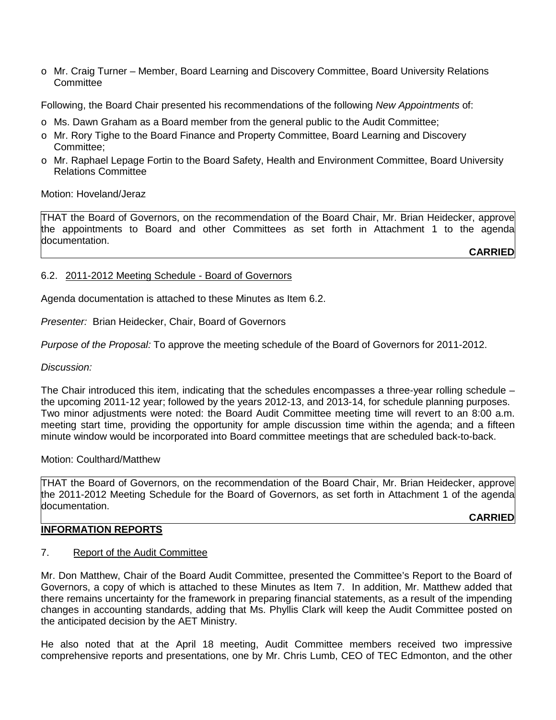o Mr. Craig Turner – Member, Board Learning and Discovery Committee, Board University Relations Committee

Following, the Board Chair presented his recommendations of the following *New Appointments* of:

- o Ms. Dawn Graham as a Board member from the general public to the Audit Committee;
- o Mr. Rory Tighe to the Board Finance and Property Committee, Board Learning and Discovery Committee;
- o Mr. Raphael Lepage Fortin to the Board Safety, Health and Environment Committee, Board University Relations Committee

# Motion: Hoveland/Jeraz

THAT the Board of Governors, on the recommendation of the Board Chair, Mr. Brian Heidecker, approve the appointments to Board and other Committees as set forth in Attachment 1 to the agenda documentation.

**CARRIED**

### 6.2. 2011-2012 Meeting Schedule - Board of Governors

Agenda documentation is attached to these Minutes as Item 6.2.

*Presenter:* Brian Heidecker, Chair, Board of Governors

*Purpose of the Proposal:* To approve the meeting schedule of the Board of Governors for 2011-2012.

#### *Discussion:*

The Chair introduced this item, indicating that the schedules encompasses a three-year rolling schedule – the upcoming 2011-12 year; followed by the years 2012-13, and 2013-14, for schedule planning purposes. Two minor adjustments were noted: the Board Audit Committee meeting time will revert to an 8:00 a.m. meeting start time, providing the opportunity for ample discussion time within the agenda; and a fifteen minute window would be incorporated into Board committee meetings that are scheduled back-to-back.

#### Motion: Coulthard/Matthew

THAT the Board of Governors, on the recommendation of the Board Chair, Mr. Brian Heidecker, approve the 2011-2012 Meeting Schedule for the Board of Governors, as set forth in Attachment 1 of the agenda documentation.

**CARRIED**

# **INFORMATION REPORTS**

# 7. Report of the Audit Committee

Mr. Don Matthew, Chair of the Board Audit Committee, presented the Committee's Report to the Board of Governors, a copy of which is attached to these Minutes as Item 7. In addition, Mr. Matthew added that there remains uncertainty for the framework in preparing financial statements, as a result of the impending changes in accounting standards, adding that Ms. Phyllis Clark will keep the Audit Committee posted on the anticipated decision by the AET Ministry.

He also noted that at the April 18 meeting, Audit Committee members received two impressive comprehensive reports and presentations, one by Mr. Chris Lumb, CEO of TEC Edmonton, and the other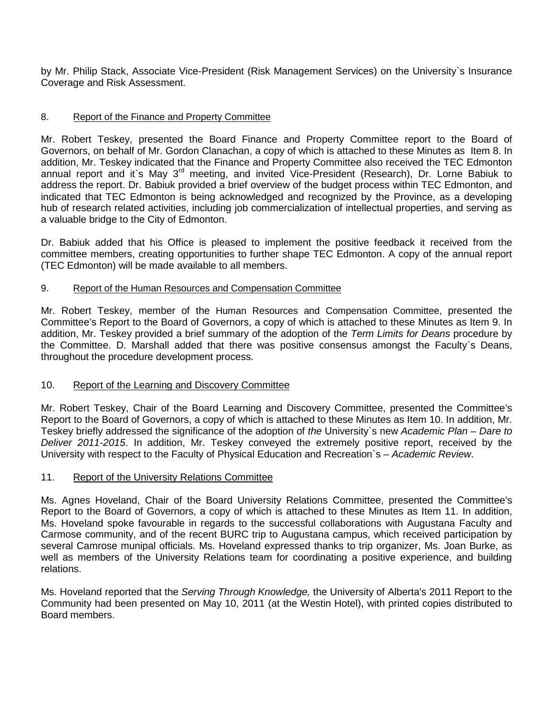by Mr. Philip Stack, Associate Vice-President (Risk Management Services) on the University`s Insurance Coverage and Risk Assessment.

# 8. Report of the Finance and Property Committee

Mr. Robert Teskey, presented the Board Finance and Property Committee report to the Board of Governors, on behalf of Mr. Gordon Clanachan, a copy of which is attached to these Minutes as Item 8. In addition, Mr. Teskey indicated that the Finance and Property Committee also received the TEC Edmonton annual report and it's May 3<sup>rd</sup> meeting, and invited Vice-President (Research), Dr. Lorne Babiuk to address the report. Dr. Babiuk provided a brief overview of the budget process within TEC Edmonton, and indicated that TEC Edmonton is being acknowledged and recognized by the Province, as a developing hub of research related activities, including job commercialization of intellectual properties, and serving as a valuable bridge to the City of Edmonton.

Dr. Babiuk added that his Office is pleased to implement the positive feedback it received from the committee members, creating opportunities to further shape TEC Edmonton. A copy of the annual report (TEC Edmonton) will be made available to all members.

# 9. Report of the Human Resources and Compensation Committee

Mr. Robert Teskey, member of the Human Resources and Compensation Committee, presented the Committee's Report to the Board of Governors, a copy of which is attached to these Minutes as Item 9. In addition, Mr. Teskey provided a brief summary of the adoption of the *Term Limits for Deans* procedure by the Committee. D. Marshall added that there was positive consensus amongst the Faculty`s Deans, throughout the procedure development process.

# 10. Report of the Learning and Discovery Committee

Mr. Robert Teskey, Chair of the Board Learning and Discovery Committee, presented the Committee's Report to the Board of Governors, a copy of which is attached to these Minutes as Item 10. In addition, Mr. Teskey briefly addressed the significance of the adoption of *the* University`s new *Academic Plan – Dare to Deliver 2011-2015*. In addition, Mr. Teskey conveyed the extremely positive report, received by the University with respect to the Faculty of Physical Education and Recreation`s – *Academic Review*.

# 11. Report of the University Relations Committee

Ms. Agnes Hoveland, Chair of the Board University Relations Committee, presented the Committee's Report to the Board of Governors, a copy of which is attached to these Minutes as Item 11. In addition, Ms. Hoveland spoke favourable in regards to the successful collaborations with Augustana Faculty and Carmose community, and of the recent BURC trip to Augustana campus, which received participation by several Camrose munipal officials. Ms. Hoveland expressed thanks to trip organizer, Ms. Joan Burke, as well as members of the University Relations team for coordinating a positive experience, and building relations.

Ms. Hoveland reported that the *Serving Through Knowledge,* the University of Alberta's 2011 Report to the Community had been presented on May 10, 2011 (at the Westin Hotel), with printed copies distributed to Board members.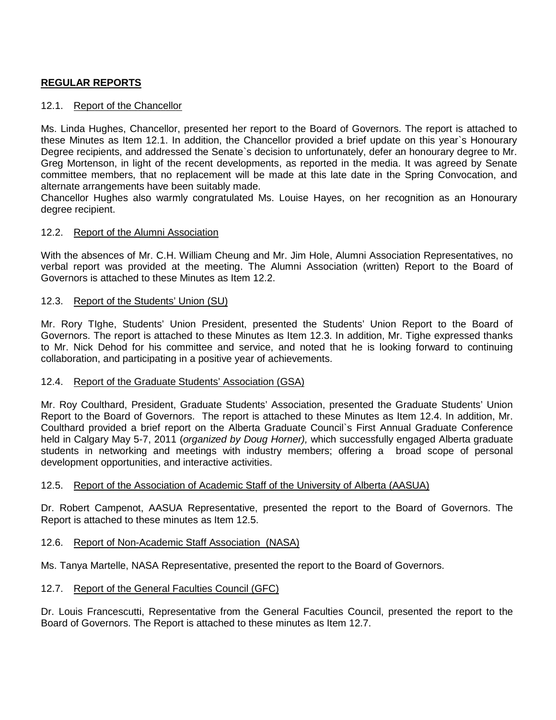# **REGULAR REPORTS**

# 12.1. Report of the Chancellor

Ms. Linda Hughes, Chancellor, presented her report to the Board of Governors. The report is attached to these Minutes as Item 12.1. In addition, the Chancellor provided a brief update on this year`s Honourary Degree recipients, and addressed the Senate`s decision to unfortunately, defer an honourary degree to Mr. Greg Mortenson, in light of the recent developments, as reported in the media. It was agreed by Senate committee members, that no replacement will be made at this late date in the Spring Convocation, and alternate arrangements have been suitably made.

Chancellor Hughes also warmly congratulated Ms. Louise Hayes, on her recognition as an Honourary degree recipient.

# 12.2. Report of the Alumni Association

With the absences of Mr. C.H. William Cheung and Mr. Jim Hole, Alumni Association Representatives, no verbal report was provided at the meeting. The Alumni Association (written) Report to the Board of Governors is attached to these Minutes as Item 12.2.

### 12.3. Report of the Students' Union (SU)

Mr. Rory TIghe, Students' Union President, presented the Students' Union Report to the Board of Governors. The report is attached to these Minutes as Item 12.3. In addition, Mr. Tighe expressed thanks to Mr. Nick Dehod for his committee and service, and noted that he is looking forward to continuing collaboration, and participating in a positive year of achievements.

# 12.4. Report of the Graduate Students' Association (GSA)

Mr. Roy Coulthard, President, Graduate Students' Association, presented the Graduate Students' Union Report to the Board of Governors. The report is attached to these Minutes as Item 12.4. In addition, Mr. Coulthard provided a brief report on the Alberta Graduate Council`s First Annual Graduate Conference held in Calgary May 5-7, 2011 (*organized by Doug Horner),* which successfully engaged Alberta graduate students in networking and meetings with industry members; offering a broad scope of personal development opportunities, and interactive activities.

# 12.5. Report of the Association of Academic Staff of the University of Alberta (AASUA)

Dr. Robert Campenot, AASUA Representative, presented the report to the Board of Governors. The Report is attached to these minutes as Item 12.5.

#### 12.6. Report of Non-Academic Staff Association (NASA)

Ms. Tanya Martelle, NASA Representative, presented the report to the Board of Governors.

# 12.7. Report of the General Faculties Council (GFC)

Dr. Louis Francescutti, Representative from the General Faculties Council, presented the report to the Board of Governors. The Report is attached to these minutes as Item 12.7.